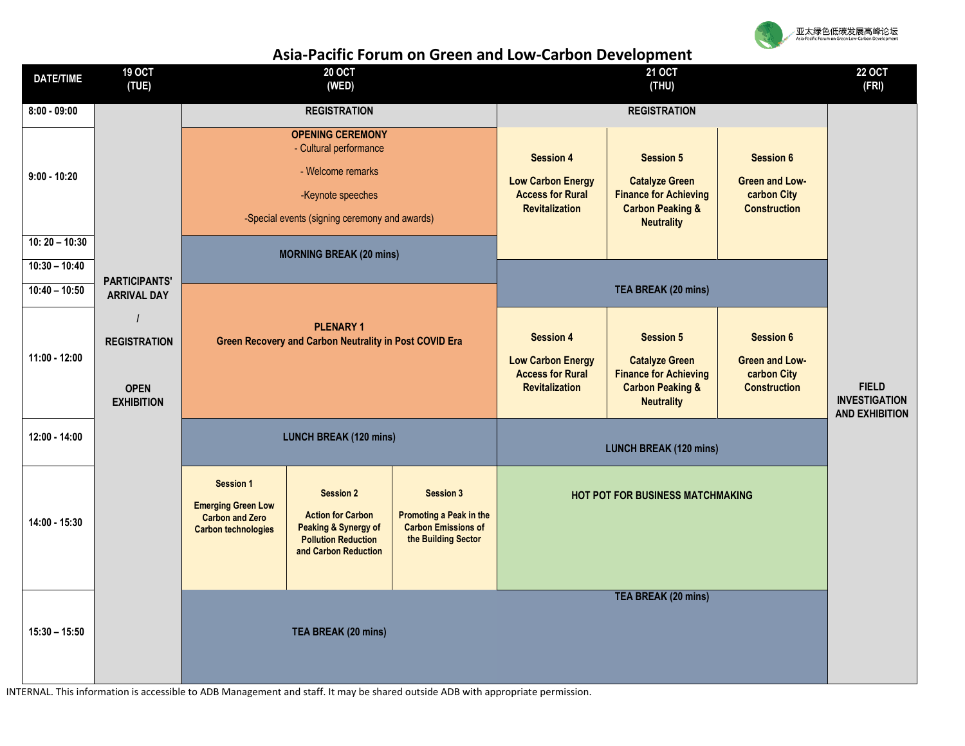

## **Asia-Pacific Forum on Green and Low-Carbon Development**

| <b>DATE/TIME</b> | <b>19 OCT</b><br>(TUE)                     | <b>20 OCT</b><br>(WED)                               |                                                                            |                                                                                                                                                                                           | <b>21 OCT</b><br>(THU)                  |                                                  |                       | <b>22 OCT</b><br>(FRI) |
|------------------|--------------------------------------------|------------------------------------------------------|----------------------------------------------------------------------------|-------------------------------------------------------------------------------------------------------------------------------------------------------------------------------------------|-----------------------------------------|--------------------------------------------------|-----------------------|------------------------|
|                  |                                            |                                                      |                                                                            |                                                                                                                                                                                           |                                         |                                                  |                       |                        |
| $8:00 - 09:00$   |                                            | <b>REGISTRATION</b>                                  |                                                                            |                                                                                                                                                                                           | <b>REGISTRATION</b>                     |                                                  |                       |                        |
| $9:00 - 10:20$   |                                            | <b>OPENING CEREMONY</b><br>- Cultural performance    |                                                                            |                                                                                                                                                                                           |                                         |                                                  |                       |                        |
|                  |                                            |                                                      |                                                                            |                                                                                                                                                                                           | <b>Session 4</b>                        | <b>Session 5</b>                                 | <b>Session 6</b>      |                        |
|                  |                                            | - Welcome remarks                                    |                                                                            | <b>Low Carbon Energy</b><br><b>Catalyze Green</b><br><b>Access for Rural</b><br><b>Finance for Achieving</b><br><b>Revitalization</b><br><b>Carbon Peaking &amp;</b><br><b>Neutrality</b> |                                         | <b>Green and Low-</b>                            |                       |                        |
|                  |                                            | -Keynote speeches                                    |                                                                            |                                                                                                                                                                                           |                                         | carbon City<br><b>Construction</b>               |                       |                        |
|                  |                                            | -Special events (signing ceremony and awards)        |                                                                            |                                                                                                                                                                                           |                                         |                                                  |                       |                        |
| $10:20 - 10:30$  |                                            |                                                      | <b>MORNING BREAK (20 mins)</b>                                             |                                                                                                                                                                                           |                                         |                                                  |                       |                        |
| $10:30 - 10:40$  |                                            |                                                      |                                                                            |                                                                                                                                                                                           |                                         |                                                  |                       |                        |
| $10:40 - 10:50$  | <b>PARTICIPANTS'</b><br><b>ARRIVAL DAY</b> |                                                      |                                                                            |                                                                                                                                                                                           | TEA BREAK (20 mins)                     |                                                  |                       |                        |
|                  |                                            |                                                      |                                                                            |                                                                                                                                                                                           |                                         |                                                  |                       |                        |
| $11:00 - 12:00$  | <b>REGISTRATION</b>                        |                                                      | <b>PLENARY 1</b><br>Green Recovery and Carbon Neutrality in Post COVID Era |                                                                                                                                                                                           | <b>Session 4</b>                        | <b>Session 5</b>                                 | <b>Session 6</b>      |                        |
|                  |                                            |                                                      |                                                                            |                                                                                                                                                                                           | <b>Low Carbon Energy</b>                | <b>Catalyze Green</b>                            | <b>Green and Low-</b> |                        |
|                  |                                            |                                                      |                                                                            |                                                                                                                                                                                           | <b>Access for Rural</b>                 | <b>Finance for Achieving</b>                     | carbon City           | <b>FIELD</b>           |
|                  | <b>OPEN</b><br><b>EXHIBITION</b>           |                                                      |                                                                            |                                                                                                                                                                                           | <b>Revitalization</b>                   | <b>Carbon Peaking &amp;</b><br><b>Neutrality</b> | <b>Construction</b>   | <b>INVESTIGATION</b>   |
|                  |                                            |                                                      |                                                                            |                                                                                                                                                                                           |                                         |                                                  |                       | <b>AND EXHIBITION</b>  |
| 12:00 - 14:00    |                                            | <b>LUNCH BREAK (120 mins)</b>                        |                                                                            |                                                                                                                                                                                           | <b>LUNCH BREAK (120 mins)</b>           |                                                  |                       |                        |
|                  |                                            |                                                      |                                                                            |                                                                                                                                                                                           |                                         |                                                  |                       |                        |
|                  |                                            | <b>Session 1</b>                                     | <b>Session 2</b><br><b>Action for Carbon</b>                               | <b>Session 3</b><br>Promoting a Peak in the                                                                                                                                               | <b>HOT POT FOR BUSINESS MATCHMAKING</b> |                                                  |                       |                        |
| 14:00 - 15:30    |                                            | <b>Emerging Green Low</b>                            |                                                                            |                                                                                                                                                                                           |                                         |                                                  |                       |                        |
|                  |                                            | <b>Carbon and Zero</b><br><b>Carbon technologies</b> | Peaking & Synergy of                                                       | <b>Carbon Emissions of</b>                                                                                                                                                                |                                         |                                                  |                       |                        |
|                  |                                            |                                                      | <b>Pollution Reduction</b><br>and Carbon Reduction                         | the Building Sector                                                                                                                                                                       |                                         |                                                  |                       |                        |
|                  |                                            |                                                      |                                                                            |                                                                                                                                                                                           |                                         |                                                  |                       |                        |
|                  |                                            |                                                      |                                                                            |                                                                                                                                                                                           |                                         |                                                  |                       |                        |
| $15:30 - 15:50$  |                                            |                                                      |                                                                            |                                                                                                                                                                                           |                                         | <b>TEA BREAK (20 mins)</b>                       |                       |                        |
|                  |                                            | TEA BREAK (20 mins)                                  |                                                                            |                                                                                                                                                                                           |                                         |                                                  |                       |                        |
|                  |                                            |                                                      |                                                                            |                                                                                                                                                                                           |                                         |                                                  |                       |                        |
|                  |                                            |                                                      |                                                                            |                                                                                                                                                                                           |                                         |                                                  |                       |                        |

INTERNAL. This information is accessible to ADB Management and staff. It may be shared outside ADB with appropriate permission.